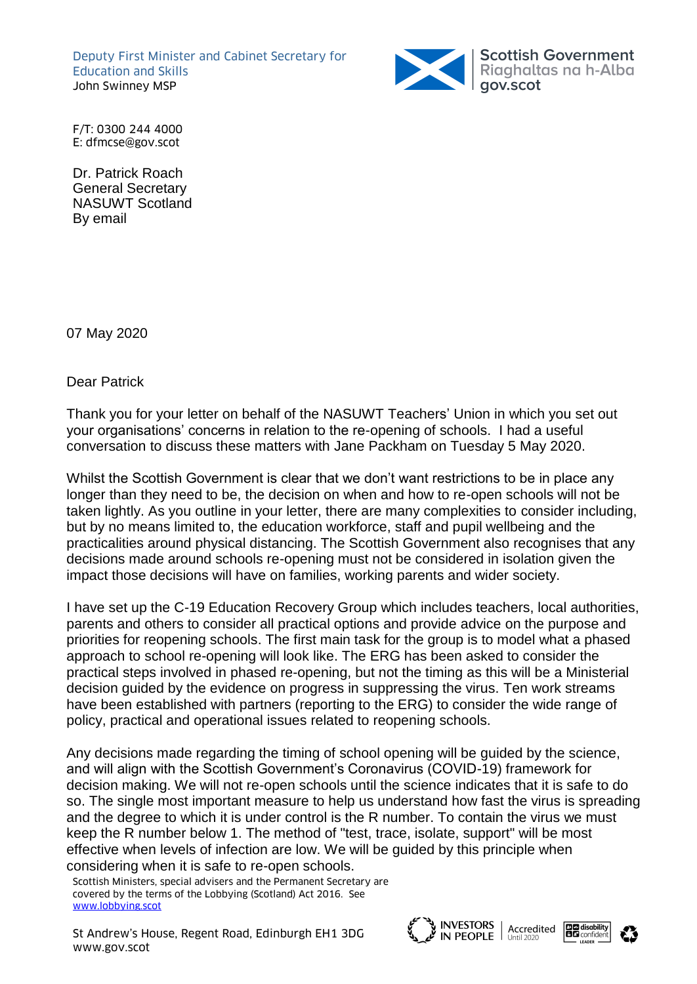Deputy First Minister and Cabinet Secretary for Education and Skills John Swinney MSP



F/T: 0300 244 4000 E: dfmcse@gov.scot

Dr. Patrick Roach General Secretary NASUWT Scotland By email

07 May 2020

Dear Patrick

Thank you for your letter on behalf of the NASUWT Teachers' Union in which you set out your organisations' concerns in relation to the re-opening of schools. I had a useful conversation to discuss these matters with Jane Packham on Tuesday 5 May 2020.

Whilst the Scottish Government is clear that we don't want restrictions to be in place any longer than they need to be, the decision on when and how to re-open schools will not be taken lightly. As you outline in your letter, there are many complexities to consider including, but by no means limited to, the education workforce, staff and pupil wellbeing and the practicalities around physical distancing. The Scottish Government also recognises that any decisions made around schools re-opening must not be considered in isolation given the impact those decisions will have on families, working parents and wider society.

I have set up the C-19 Education Recovery Group which includes teachers, local authorities, parents and others to consider all practical options and provide advice on the purpose and priorities for reopening schools. The first main task for the group is to model what a phased approach to school re-opening will look like. The ERG has been asked to consider the practical steps involved in phased re-opening, but not the timing as this will be a Ministerial decision guided by the evidence on progress in suppressing the virus. Ten work streams have been established with partners (reporting to the ERG) to consider the wide range of policy, practical and operational issues related to reopening schools.

Any decisions made regarding the timing of school opening will be guided by the science, and will align with the Scottish Government's Coronavirus (COVID-19) framework for decision making. We will not re-open schools until the science indicates that it is safe to do so. The single most important measure to help us understand how fast the virus is spreading and the degree to which it is under control is the R number. To contain the virus we must keep the R number below 1. The method of "test, trace, isolate, support" will be most effective when levels of infection are low. We will be guided by this principle when considering when it is safe to re-open schools.

Scottish Ministers, special advisers and the Permanent Secretary are covered by the terms of the Lobbying (Scotland) Act 2016. See [www.lobbying.scot](pack://file%3a,,root,SECUREAPPSUPPORT,fileDatabase,files,Coronavirus%2520-%2520ADES%2520Proposal%2520on%2520RPA%2520-%2520DFM%2520Letter%2520to%2520Carrie%2520Lindsay%2520-%2520April%25202020_00000001.docx/customXml/item1.xml)